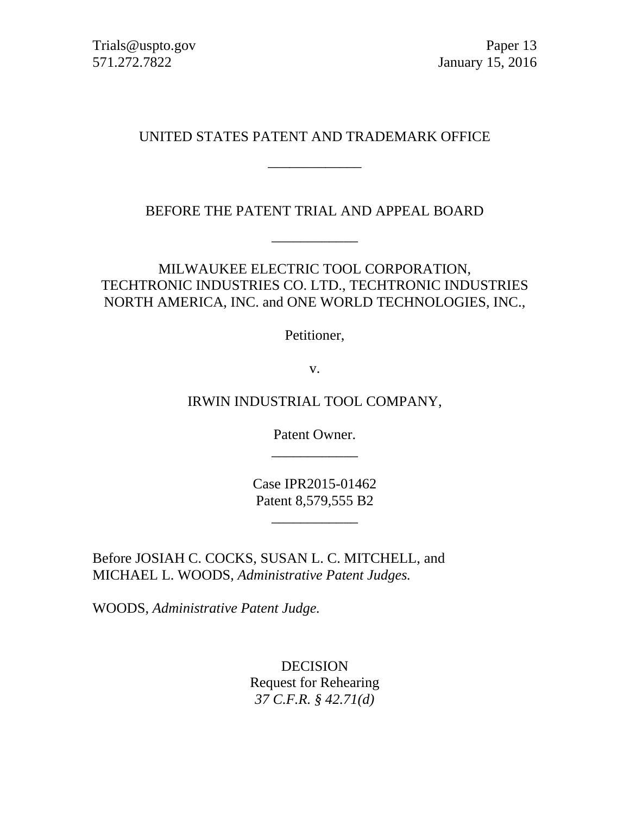Trials@uspto.gov Paper 13 571.272.7822 January 15, 2016

## UNITED STATES PATENT AND TRADEMARK OFFICE

\_\_\_\_\_\_\_\_\_\_\_\_\_

BEFORE THE PATENT TRIAL AND APPEAL BOARD

\_\_\_\_\_\_\_\_\_\_\_\_

MILWAUKEE ELECTRIC TOOL CORPORATION, TECHTRONIC INDUSTRIES CO. LTD., TECHTRONIC INDUSTRIES NORTH AMERICA, INC. and ONE WORLD TECHNOLOGIES, INC.,

Petitioner,

v.

IRWIN INDUSTRIAL TOOL COMPANY,

Patent Owner. \_\_\_\_\_\_\_\_\_\_\_\_

Case IPR2015-01462 Patent 8,579,555 B2

\_\_\_\_\_\_\_\_\_\_\_\_

Before JOSIAH C. COCKS, SUSAN L. C. MITCHELL, and MICHAEL L. WOODS, *Administrative Patent Judges.*

WOODS, *Administrative Patent Judge.*

DECISION Request for Rehearing *37 C.F.R. § 42.71(d)*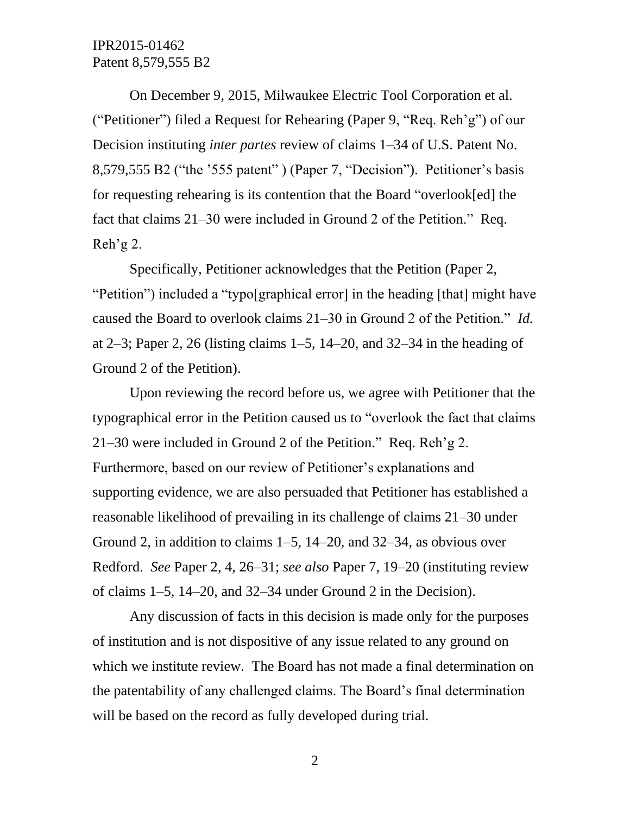IPR2015-01462 Patent 8,579,555 B2

On December 9, 2015, Milwaukee Electric Tool Corporation et al. ("Petitioner") filed a Request for Rehearing (Paper 9, "Req. Reh'g") of our Decision instituting *inter partes* review of claims 1–34 of U.S. Patent No. 8,579,555 B2 ("the '555 patent" ) (Paper 7, "Decision"). Petitioner's basis for requesting rehearing is its contention that the Board "overlook[ed] the fact that claims 21–30 were included in Ground 2 of the Petition." Req. Reh'g 2.

Specifically, Petitioner acknowledges that the Petition (Paper 2, "Petition") included a "typo[graphical error] in the heading [that] might have caused the Board to overlook claims 21–30 in Ground 2 of the Petition." *Id.* at 2–3; Paper 2, 26 (listing claims 1–5, 14–20, and 32–34 in the heading of Ground 2 of the Petition).

Upon reviewing the record before us, we agree with Petitioner that the typographical error in the Petition caused us to "overlook the fact that claims 21–30 were included in Ground 2 of the Petition." Req. Reh'g 2. Furthermore, based on our review of Petitioner's explanations and supporting evidence, we are also persuaded that Petitioner has established a reasonable likelihood of prevailing in its challenge of claims 21–30 under Ground 2, in addition to claims 1–5, 14–20, and 32–34, as obvious over Redford. *See* Paper 2, 4, 26–31; *see also* Paper 7, 19–20 (instituting review of claims 1–5, 14–20, and 32–34 under Ground 2 in the Decision).

Any discussion of facts in this decision is made only for the purposes of institution and is not dispositive of any issue related to any ground on which we institute review. The Board has not made a final determination on the patentability of any challenged claims. The Board's final determination will be based on the record as fully developed during trial.

2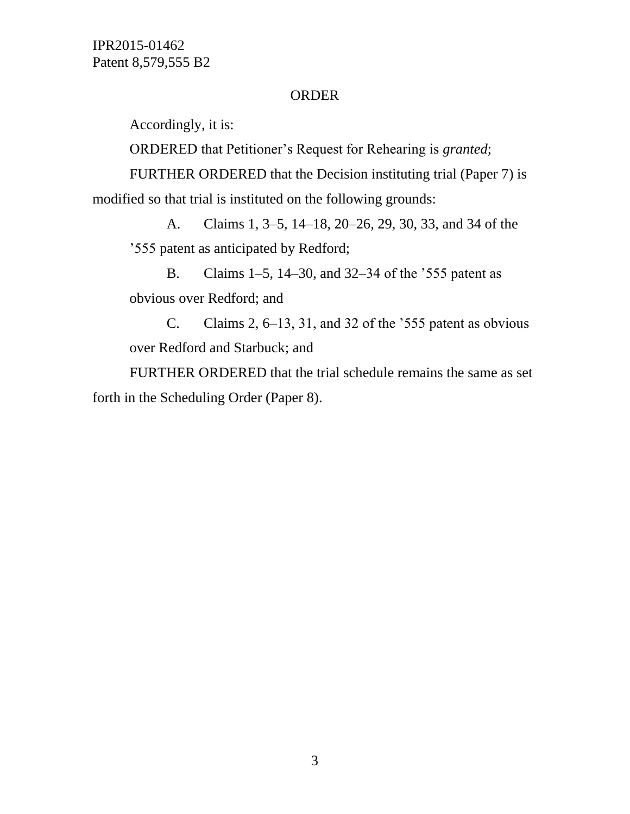IPR2015-01462 Patent 8,579,555 B2

## ORDER

Accordingly, it is:

ORDERED that Petitioner's Request for Rehearing is *granted*;

FURTHER ORDERED that the Decision instituting trial (Paper 7) is modified so that trial is instituted on the following grounds:

A. Claims 1, 3–5, 14–18, 20–26, 29, 30, 33, and 34 of the '555 patent as anticipated by Redford;

B. Claims 1–5, 14–30, and 32–34 of the '555 patent as obvious over Redford; and

C. Claims 2, 6–13, 31, and 32 of the '555 patent as obvious over Redford and Starbuck; and

FURTHER ORDERED that the trial schedule remains the same as set forth in the Scheduling Order (Paper 8).